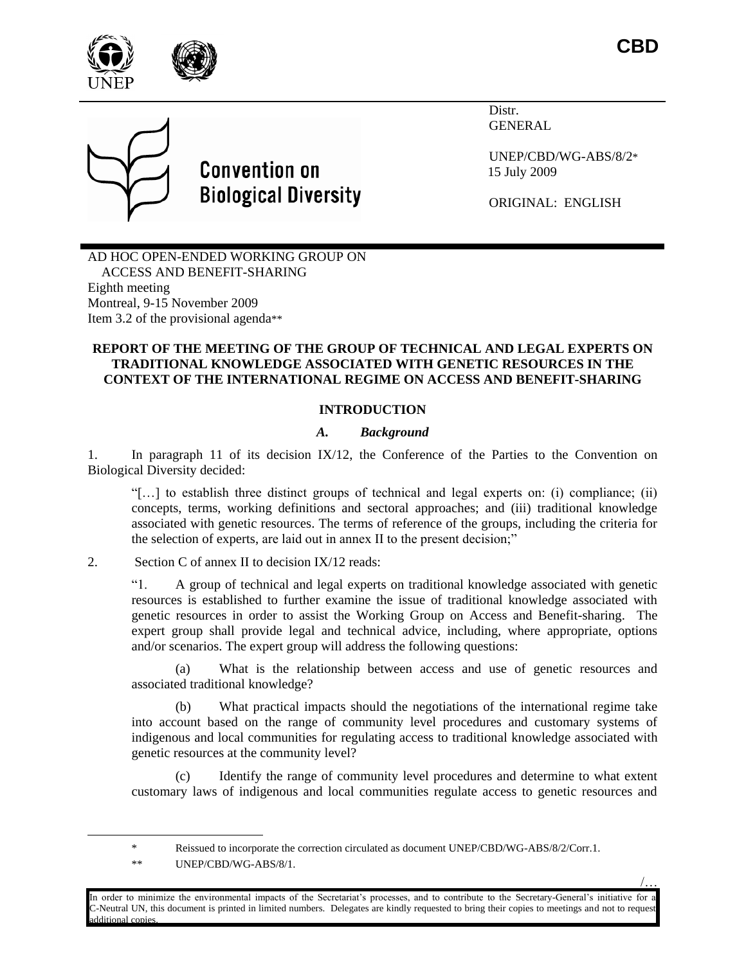

/…



Distr. GENERAL

UNEP/CBD/WG-ABS/8/2\* 15 July 2009

ORIGINAL: ENGLISH

AD HOC OPEN-ENDED WORKING GROUP ON ACCESS AND BENEFIT-SHARING Eighth meeting Montreal, 9-15 November 2009 Item 3.2 of the provisional agenda\*\*

**Convention on** 

**Biological Diversity** 

### **REPORT OF THE MEETING OF THE GROUP OF TECHNICAL AND LEGAL EXPERTS ON TRADITIONAL KNOWLEDGE ASSOCIATED WITH GENETIC RESOURCES IN THE CONTEXT OF THE INTERNATIONAL REGIME ON ACCESS AND BENEFIT-SHARING**

## **INTRODUCTION**

### *A. Background*

1. In paragraph 11 of its decision IX/12, the Conference of the Parties to the Convention on Biological Diversity decided:

"[…] to establish three distinct groups of technical and legal experts on: (i) compliance; (ii) concepts, terms, working definitions and sectoral approaches; and (iii) traditional knowledge associated with genetic resources. The terms of reference of the groups, including the criteria for the selection of experts, are laid out in annex II to the present decision;"

### 2. Section C of annex II to decision IX/12 reads:

"1. A group of technical and legal experts on traditional knowledge associated with genetic resources is established to further examine the issue of traditional knowledge associated with genetic resources in order to assist the Working Group on Access and Benefit-sharing. The expert group shall provide legal and technical advice, including, where appropriate, options and/or scenarios. The expert group will address the following questions:

(a) What is the relationship between access and use of genetic resources and associated traditional knowledge?

(b) What practical impacts should the negotiations of the international regime take into account based on the range of community level procedures and customary systems of indigenous and local communities for regulating access to traditional knowledge associated with genetic resources at the community level?

(c) Identify the range of community level procedures and determine to what extent customary laws of indigenous and local communities regulate access to genetic resources and

l

<sup>\*</sup> Reissued to incorporate the correction circulated as document UNEP/CBD/WG-ABS/8/2/Corr.1.

<sup>\*\*</sup> UNEP/CBD/WG-ABS/8/1.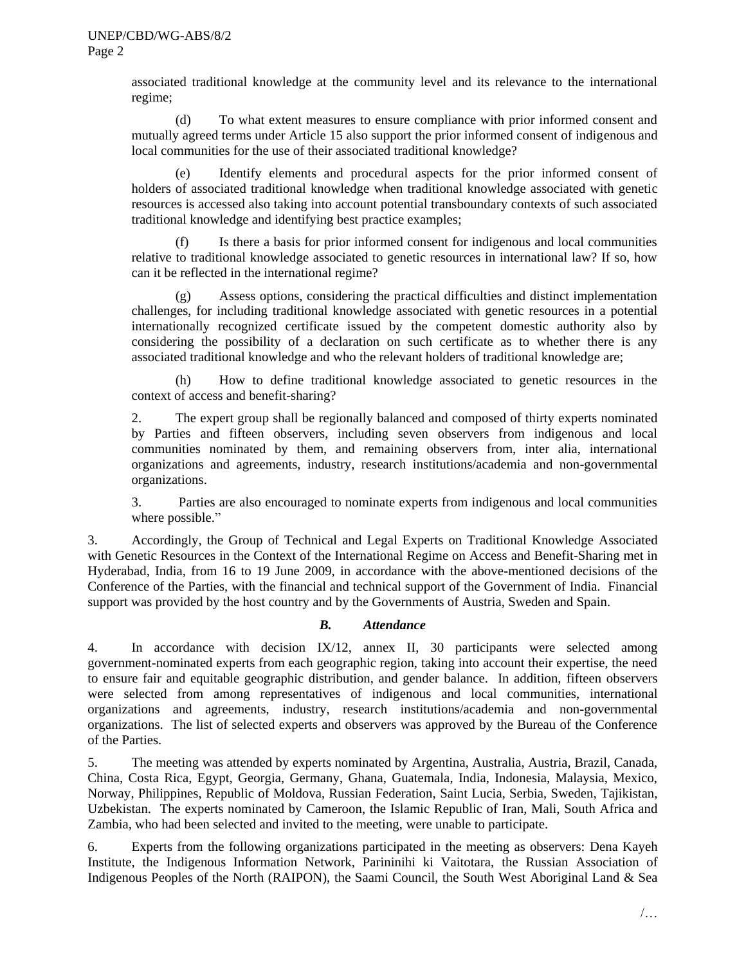associated traditional knowledge at the community level and its relevance to the international regime;

(d) To what extent measures to ensure compliance with prior informed consent and mutually agreed terms under Article 15 also support the prior informed consent of indigenous and local communities for the use of their associated traditional knowledge?

Identify elements and procedural aspects for the prior informed consent of holders of associated traditional knowledge when traditional knowledge associated with genetic resources is accessed also taking into account potential transboundary contexts of such associated traditional knowledge and identifying best practice examples;

(f) Is there a basis for prior informed consent for indigenous and local communities relative to traditional knowledge associated to genetic resources in international law? If so, how can it be reflected in the international regime?

(g) Assess options, considering the practical difficulties and distinct implementation challenges, for including traditional knowledge associated with genetic resources in a potential internationally recognized certificate issued by the competent domestic authority also by considering the possibility of a declaration on such certificate as to whether there is any associated traditional knowledge and who the relevant holders of traditional knowledge are;

(h) How to define traditional knowledge associated to genetic resources in the context of access and benefit-sharing?

2. The expert group shall be regionally balanced and composed of thirty experts nominated by Parties and fifteen observers, including seven observers from indigenous and local communities nominated by them, and remaining observers from, inter alia, international organizations and agreements, industry, research institutions/academia and non-governmental organizations.

3. Parties are also encouraged to nominate experts from indigenous and local communities where possible."

3. Accordingly, the Group of Technical and Legal Experts on Traditional Knowledge Associated with Genetic Resources in the Context of the International Regime on Access and Benefit-Sharing met in Hyderabad, India, from 16 to 19 June 2009, in accordance with the above-mentioned decisions of the Conference of the Parties, with the financial and technical support of the Government of India. Financial support was provided by the host country and by the Governments of Austria, Sweden and Spain.

### *B. Attendance*

4. In accordance with decision IX/12, annex II, 30 participants were selected among government-nominated experts from each geographic region, taking into account their expertise, the need to ensure fair and equitable geographic distribution, and gender balance. In addition, fifteen observers were selected from among representatives of indigenous and local communities, international organizations and agreements, industry, research institutions/academia and non-governmental organizations. The list of selected experts and observers was approved by the Bureau of the Conference of the Parties.

5. The meeting was attended by experts nominated by Argentina, Australia, Austria, Brazil, Canada, China, Costa Rica, Egypt, Georgia, Germany, Ghana, Guatemala, India, Indonesia, Malaysia, Mexico, Norway, Philippines, Republic of Moldova, Russian Federation, Saint Lucia, Serbia, Sweden, Tajikistan, Uzbekistan. The experts nominated by Cameroon, the Islamic Republic of Iran, Mali, South Africa and Zambia, who had been selected and invited to the meeting, were unable to participate.

6. Experts from the following organizations participated in the meeting as observers: Dena Kayeh Institute, the Indigenous Information Network, Parininihi ki Vaitotara, the Russian Association of Indigenous Peoples of the North (RAIPON), the Saami Council, the South West Aboriginal Land & Sea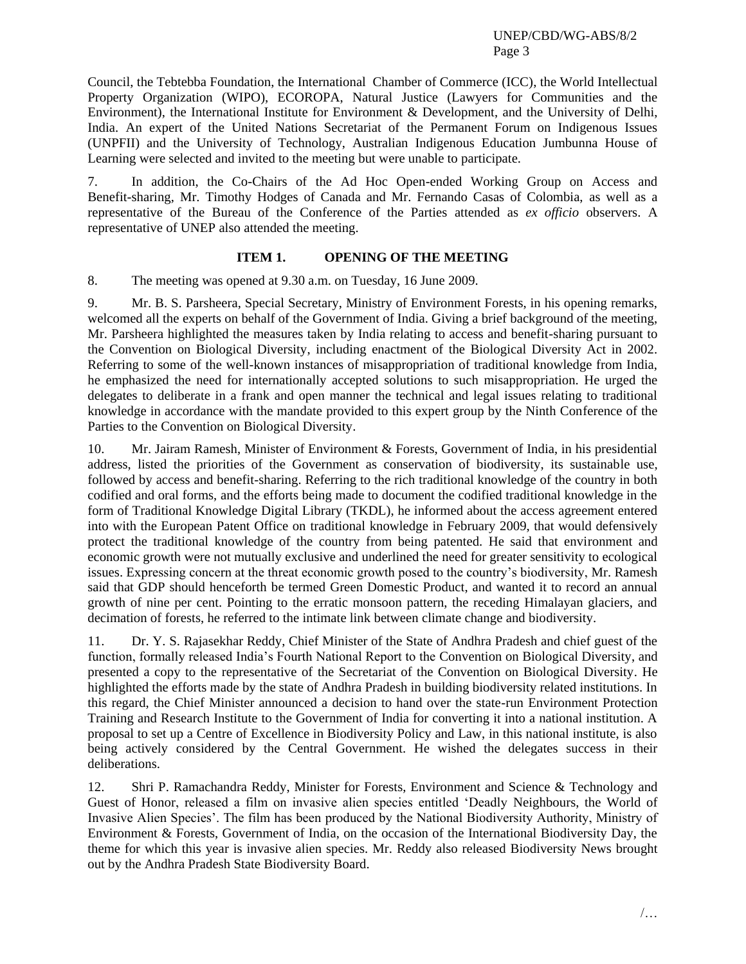Council, the Tebtebba Foundation, the International Chamber of Commerce (ICC), the World Intellectual Property Organization (WIPO), ECOROPA, Natural Justice (Lawyers for Communities and the Environment), the International Institute for Environment & Development, and the University of Delhi, India. An expert of the United Nations Secretariat of the Permanent Forum on Indigenous Issues (UNPFII) and the University of Technology, Australian Indigenous Education Jumbunna House of Learning were selected and invited to the meeting but were unable to participate.

7. In addition, the Co-Chairs of the Ad Hoc Open-ended Working Group on Access and Benefit-sharing, Mr. Timothy Hodges of Canada and Mr. Fernando Casas of Colombia, as well as a representative of the Bureau of the Conference of the Parties attended as *ex officio* observers. A representative of UNEP also attended the meeting.

### **ITEM 1. OPENING OF THE MEETING**

8. The meeting was opened at 9.30 a.m. on Tuesday, 16 June 2009.

9. Mr. B. S. Parsheera, Special Secretary, Ministry of Environment Forests, in his opening remarks, welcomed all the experts on behalf of the Government of India. Giving a brief background of the meeting, Mr. Parsheera highlighted the measures taken by India relating to access and benefit-sharing pursuant to the Convention on Biological Diversity, including enactment of the Biological Diversity Act in 2002. Referring to some of the well-known instances of misappropriation of traditional knowledge from India, he emphasized the need for internationally accepted solutions to such misappropriation. He urged the delegates to deliberate in a frank and open manner the technical and legal issues relating to traditional knowledge in accordance with the mandate provided to this expert group by the Ninth Conference of the Parties to the Convention on Biological Diversity.

10. Mr. Jairam Ramesh, Minister of Environment & Forests, Government of India, in his presidential address, listed the priorities of the Government as conservation of biodiversity, its sustainable use, followed by access and benefit-sharing. Referring to the rich traditional knowledge of the country in both codified and oral forms, and the efforts being made to document the codified traditional knowledge in the form of Traditional Knowledge Digital Library (TKDL), he informed about the access agreement entered into with the European Patent Office on traditional knowledge in February 2009, that would defensively protect the traditional knowledge of the country from being patented. He said that environment and economic growth were not mutually exclusive and underlined the need for greater sensitivity to ecological issues. Expressing concern at the threat economic growth posed to the country"s biodiversity, Mr. Ramesh said that GDP should henceforth be termed Green Domestic Product, and wanted it to record an annual growth of nine per cent. Pointing to the erratic monsoon pattern, the receding Himalayan glaciers, and decimation of forests, he referred to the intimate link between climate change and biodiversity.

11. Dr. Y. S. Rajasekhar Reddy, Chief Minister of the State of Andhra Pradesh and chief guest of the function, formally released India"s Fourth National Report to the Convention on Biological Diversity, and presented a copy to the representative of the Secretariat of the Convention on Biological Diversity. He highlighted the efforts made by the state of Andhra Pradesh in building biodiversity related institutions. In this regard, the Chief Minister announced a decision to hand over the state-run Environment Protection Training and Research Institute to the Government of India for converting it into a national institution. A proposal to set up a Centre of Excellence in Biodiversity Policy and Law, in this national institute, is also being actively considered by the Central Government. He wished the delegates success in their deliberations.

12. Shri P. Ramachandra Reddy, Minister for Forests, Environment and Science & Technology and Guest of Honor, released a film on invasive alien species entitled "Deadly Neighbours, the World of Invasive Alien Species". The film has been produced by the National Biodiversity Authority, Ministry of Environment & Forests, Government of India, on the occasion of the International Biodiversity Day, the theme for which this year is invasive alien species. Mr. Reddy also released Biodiversity News brought out by the Andhra Pradesh State Biodiversity Board.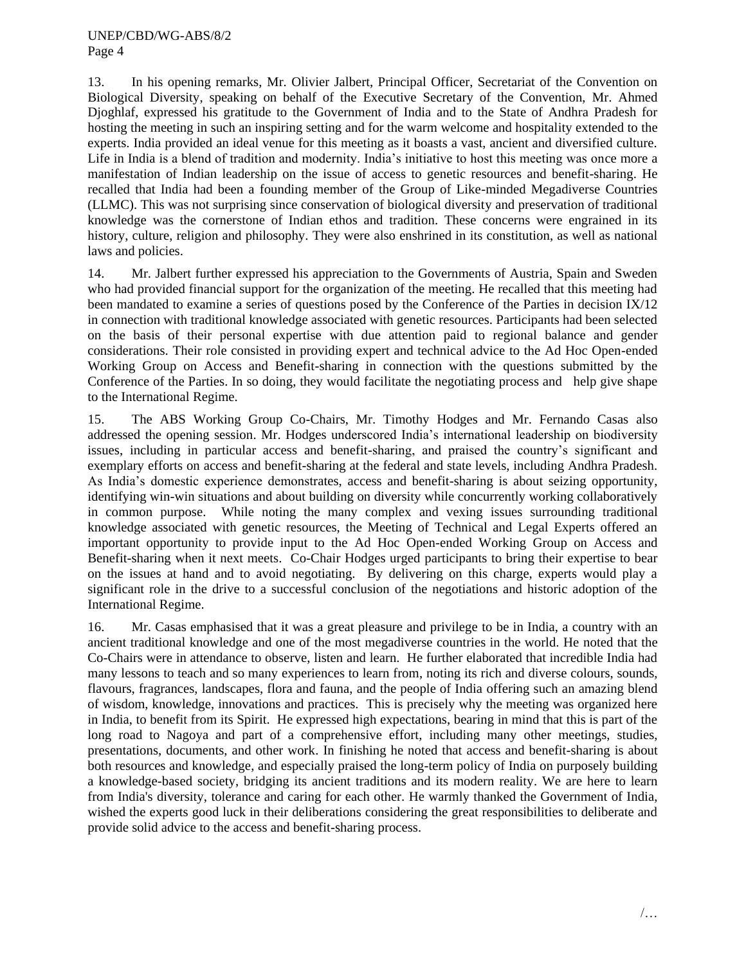13. In his opening remarks, Mr. Olivier Jalbert, Principal Officer, Secretariat of the Convention on Biological Diversity, speaking on behalf of the Executive Secretary of the Convention, Mr. Ahmed Djoghlaf, expressed his gratitude to the Government of India and to the State of Andhra Pradesh for hosting the meeting in such an inspiring setting and for the warm welcome and hospitality extended to the experts. India provided an ideal venue for this meeting as it boasts a vast, ancient and diversified culture. Life in India is a blend of tradition and modernity. India's initiative to host this meeting was once more a manifestation of Indian leadership on the issue of access to genetic resources and benefit-sharing. He recalled that India had been a founding member of the Group of Like-minded Megadiverse Countries (LLMC). This was not surprising since conservation of biological diversity and preservation of traditional knowledge was the cornerstone of Indian ethos and tradition. These concerns were engrained in its history, culture, religion and philosophy. They were also enshrined in its constitution, as well as national laws and policies.

14. Mr. Jalbert further expressed his appreciation to the Governments of Austria, Spain and Sweden who had provided financial support for the organization of the meeting. He recalled that this meeting had been mandated to examine a series of questions posed by the Conference of the Parties in decision IX/12 in connection with traditional knowledge associated with genetic resources. Participants had been selected on the basis of their personal expertise with due attention paid to regional balance and gender considerations. Their role consisted in providing expert and technical advice to the Ad Hoc Open-ended Working Group on Access and Benefit-sharing in connection with the questions submitted by the Conference of the Parties. In so doing, they would facilitate the negotiating process and help give shape to the International Regime.

15. The ABS Working Group Co-Chairs, Mr. Timothy Hodges and Mr. Fernando Casas also addressed the opening session. Mr. Hodges underscored India"s international leadership on biodiversity issues, including in particular access and benefit-sharing, and praised the country"s significant and exemplary efforts on access and benefit-sharing at the federal and state levels, including Andhra Pradesh. As India"s domestic experience demonstrates, access and benefit-sharing is about seizing opportunity, identifying win-win situations and about building on diversity while concurrently working collaboratively in common purpose. While noting the many complex and vexing issues surrounding traditional knowledge associated with genetic resources, the Meeting of Technical and Legal Experts offered an important opportunity to provide input to the Ad Hoc Open-ended Working Group on Access and Benefit-sharing when it next meets. Co-Chair Hodges urged participants to bring their expertise to bear on the issues at hand and to avoid negotiating. By delivering on this charge, experts would play a significant role in the drive to a successful conclusion of the negotiations and historic adoption of the International Regime.

16. Mr. Casas emphasised that it was a great pleasure and privilege to be in India, a country with an ancient traditional knowledge and one of the most megadiverse countries in the world. He noted that the Co-Chairs were in attendance to observe, listen and learn. He further elaborated that incredible India had many lessons to teach and so many experiences to learn from, noting its rich and diverse colours, sounds, flavours, fragrances, landscapes, flora and fauna, and the people of India offering such an amazing blend of wisdom, knowledge, innovations and practices. This is precisely why the meeting was organized here in India, to benefit from its Spirit. He expressed high expectations, bearing in mind that this is part of the long road to Nagoya and part of a comprehensive effort, including many other meetings, studies, presentations, documents, and other work. In finishing he noted that access and benefit-sharing is about both resources and knowledge, and especially praised the long-term policy of India on purposely building a knowledge-based society, bridging its ancient traditions and its modern reality. We are here to learn from India's diversity, tolerance and caring for each other. He warmly thanked the Government of India, wished the experts good luck in their deliberations considering the great responsibilities to deliberate and provide solid advice to the access and benefit-sharing process.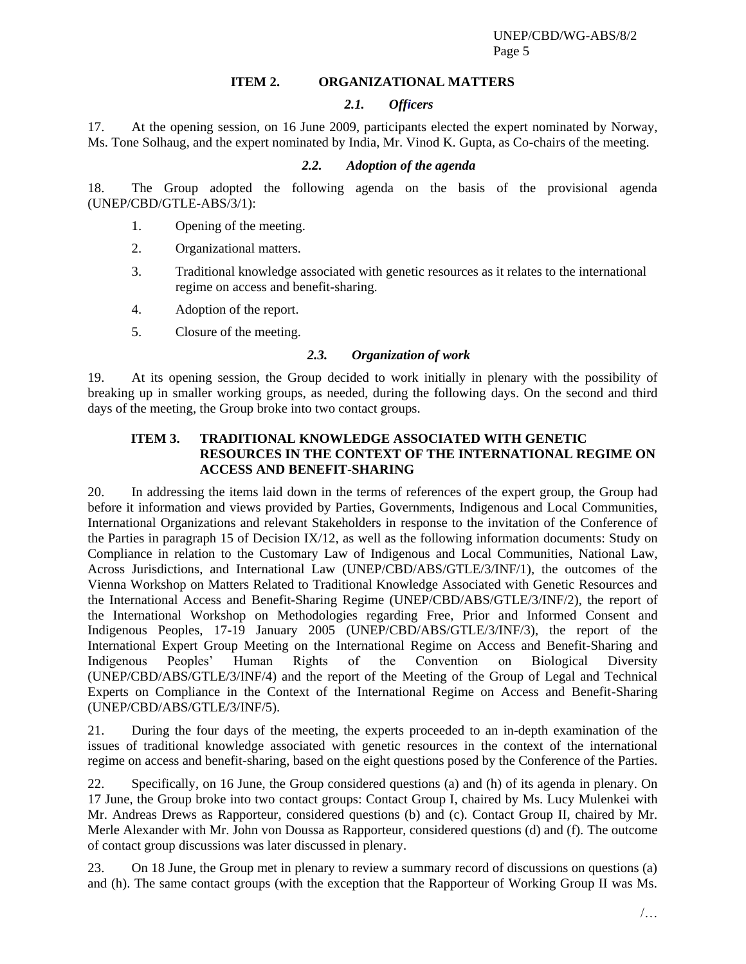#### **ITEM 2. ORGANIZATIONAL MATTERS**

### *2.1. Officers*

17. At the opening session, on 16 June 2009, participants elected the expert nominated by Norway, Ms. Tone Solhaug, and the expert nominated by India, Mr. Vinod K. Gupta, as Co-chairs of the meeting.

#### *2.2. Adoption of the agenda*

18. The Group adopted the following agenda on the basis of the provisional agenda (UNEP/CBD/GTLE-ABS/3/1):

- 1. Opening of the meeting.
- 2. Organizational matters.
- 3. Traditional knowledge associated with genetic resources as it relates to the international regime on access and benefit-sharing.
- 4. Adoption of the report.
- 5. Closure of the meeting.

#### *2.3. Organization of work*

19. At its opening session, the Group decided to work initially in plenary with the possibility of breaking up in smaller working groups, as needed, during the following days. On the second and third days of the meeting, the Group broke into two contact groups.

### **ITEM 3. TRADITIONAL KNOWLEDGE ASSOCIATED WITH GENETIC RESOURCES IN THE CONTEXT OF THE INTERNATIONAL REGIME ON ACCESS AND BENEFIT-SHARING**

20. In addressing the items laid down in the terms of references of the expert group, the Group had before it information and views provided by Parties, Governments, Indigenous and Local Communities, International Organizations and relevant Stakeholders in response to the invitation of the Conference of the Parties in paragraph 15 of Decision IX/12, as well as the following information documents: Study on Compliance in relation to the Customary Law of Indigenous and Local Communities, National Law, Across Jurisdictions, and International Law (UNEP/CBD/ABS/GTLE/3/INF/1), the outcomes of the Vienna Workshop on Matters Related to Traditional Knowledge Associated with Genetic Resources and the International Access and Benefit-Sharing Regime (UNEP/CBD/ABS/GTLE/3/INF/2), the report of the International Workshop on Methodologies regarding Free, Prior and Informed Consent and Indigenous Peoples, 17-19 January 2005 (UNEP/CBD/ABS/GTLE/3/INF/3), the report of the International Expert Group Meeting on the International Regime on Access and Benefit-Sharing and Indigenous Peoples" Human Rights of the Convention on Biological Diversity (UNEP/CBD/ABS/GTLE/3/INF/4) and the report of the Meeting of the Group of Legal and Technical Experts on Compliance in the Context of the International Regime on Access and Benefit-Sharing (UNEP/CBD/ABS/GTLE/3/INF/5).

21. During the four days of the meeting, the experts proceeded to an in-depth examination of the issues of traditional knowledge associated with genetic resources in the context of the international regime on access and benefit-sharing, based on the eight questions posed by the Conference of the Parties.

22. Specifically, on 16 June, the Group considered questions (a) and (h) of its agenda in plenary. On 17 June, the Group broke into two contact groups: Contact Group I, chaired by Ms. Lucy Mulenkei with Mr. Andreas Drews as Rapporteur, considered questions (b) and (c). Contact Group II, chaired by Mr. Merle Alexander with Mr. John von Doussa as Rapporteur, considered questions (d) and (f). The outcome of contact group discussions was later discussed in plenary.

23. On 18 June, the Group met in plenary to review a summary record of discussions on questions (a) and (h). The same contact groups (with the exception that the Rapporteur of Working Group II was Ms.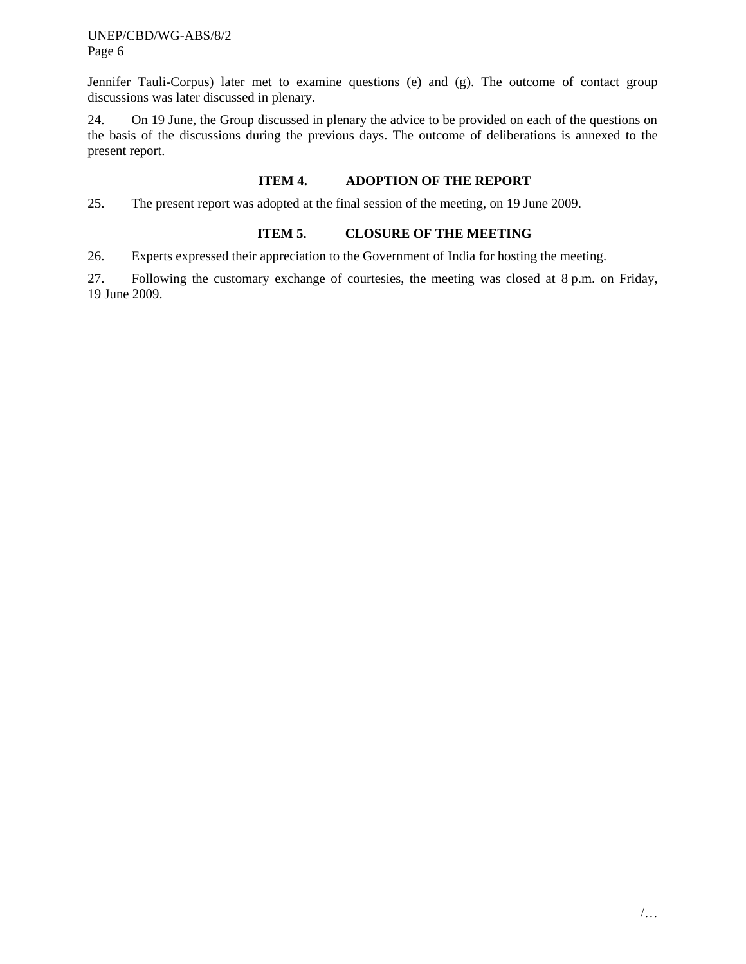UNEP/CBD/WG-ABS/8/2 Page 6

Jennifer Tauli-Corpus) later met to examine questions (e) and (g). The outcome of contact group discussions was later discussed in plenary.

24. On 19 June, the Group discussed in plenary the advice to be provided on each of the questions on the basis of the discussions during the previous days. The outcome of deliberations is annexed to the present report.

## **ITEM 4. ADOPTION OF THE REPORT**

25. The present report was adopted at the final session of the meeting, on 19 June 2009.

## **ITEM 5. CLOSURE OF THE MEETING**

26. Experts expressed their appreciation to the Government of India for hosting the meeting.

27. Following the customary exchange of courtesies, the meeting was closed at 8 p.m. on Friday, 19 June 2009.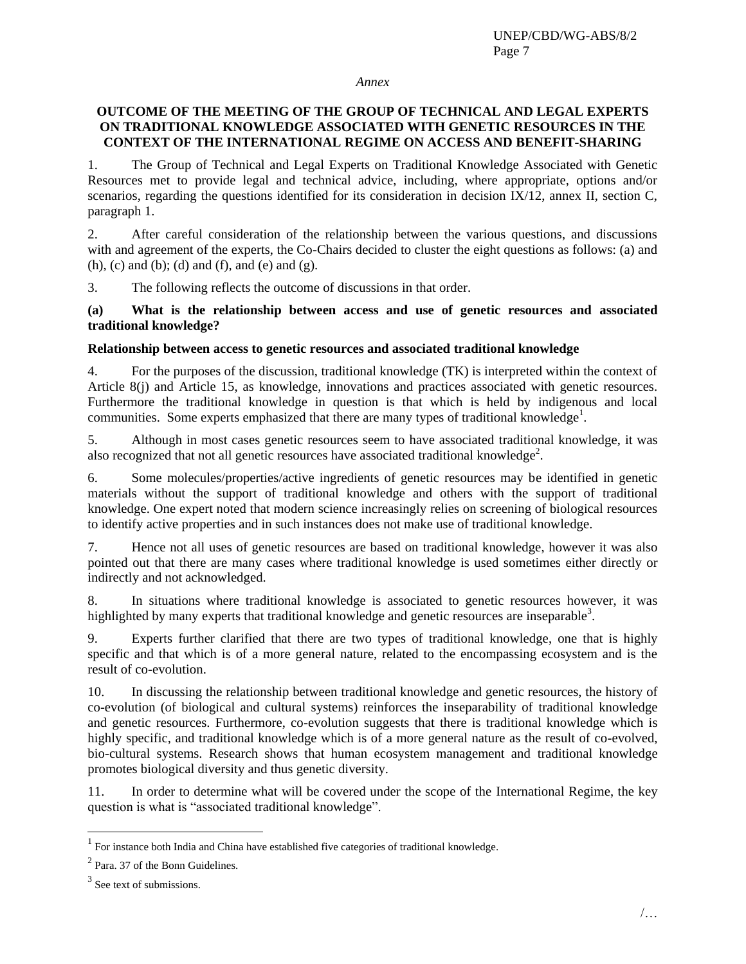#### *Annex*

## **OUTCOME OF THE MEETING OF THE GROUP OF TECHNICAL AND LEGAL EXPERTS ON TRADITIONAL KNOWLEDGE ASSOCIATED WITH GENETIC RESOURCES IN THE CONTEXT OF THE INTERNATIONAL REGIME ON ACCESS AND BENEFIT-SHARING**

1. The Group of Technical and Legal Experts on Traditional Knowledge Associated with Genetic Resources met to provide legal and technical advice, including, where appropriate, options and/or scenarios, regarding the questions identified for its consideration in decision IX/12, annex II, section C, paragraph 1.

2. After careful consideration of the relationship between the various questions, and discussions with and agreement of the experts, the Co-Chairs decided to cluster the eight questions as follows: (a) and  $(h)$ ,  $(c)$  and  $(b)$ ;  $(d)$  and  $(f)$ , and  $(e)$  and  $(g)$ .

3. The following reflects the outcome of discussions in that order.

**(a) What is the relationship between access and use of genetic resources and associated traditional knowledge?**

### **Relationship between access to genetic resources and associated traditional knowledge**

4. For the purposes of the discussion, traditional knowledge (TK) is interpreted within the context of Article 8(j) and Article 15, as knowledge, innovations and practices associated with genetic resources. Furthermore the traditional knowledge in question is that which is held by indigenous and local communities. Some experts emphasized that there are many types of traditional knowledge<sup>1</sup>.

5. Although in most cases genetic resources seem to have associated traditional knowledge, it was also recognized that not all genetic resources have associated traditional knowledge<sup>2</sup>.

6. Some molecules/properties/active ingredients of genetic resources may be identified in genetic materials without the support of traditional knowledge and others with the support of traditional knowledge. One expert noted that modern science increasingly relies on screening of biological resources to identify active properties and in such instances does not make use of traditional knowledge.

7. Hence not all uses of genetic resources are based on traditional knowledge, however it was also pointed out that there are many cases where traditional knowledge is used sometimes either directly or indirectly and not acknowledged.

8. In situations where traditional knowledge is associated to genetic resources however, it was highlighted by many experts that traditional knowledge and genetic resources are inseparable<sup>3</sup>.

9. Experts further clarified that there are two types of traditional knowledge, one that is highly specific and that which is of a more general nature, related to the encompassing ecosystem and is the result of co-evolution.

10. In discussing the relationship between traditional knowledge and genetic resources, the history of co-evolution (of biological and cultural systems) reinforces the inseparability of traditional knowledge and genetic resources. Furthermore, co-evolution suggests that there is traditional knowledge which is highly specific, and traditional knowledge which is of a more general nature as the result of co-evolved, bio-cultural systems. Research shows that human ecosystem management and traditional knowledge promotes biological diversity and thus genetic diversity.

11. In order to determine what will be covered under the scope of the International Regime, the key question is what is "associated traditional knowledge".

l

 $<sup>1</sup>$  For instance both India and China have established five categories of traditional knowledge.</sup>

<sup>&</sup>lt;sup>2</sup> Para. 37 of the Bonn Guidelines.

 $3$  See text of submissions.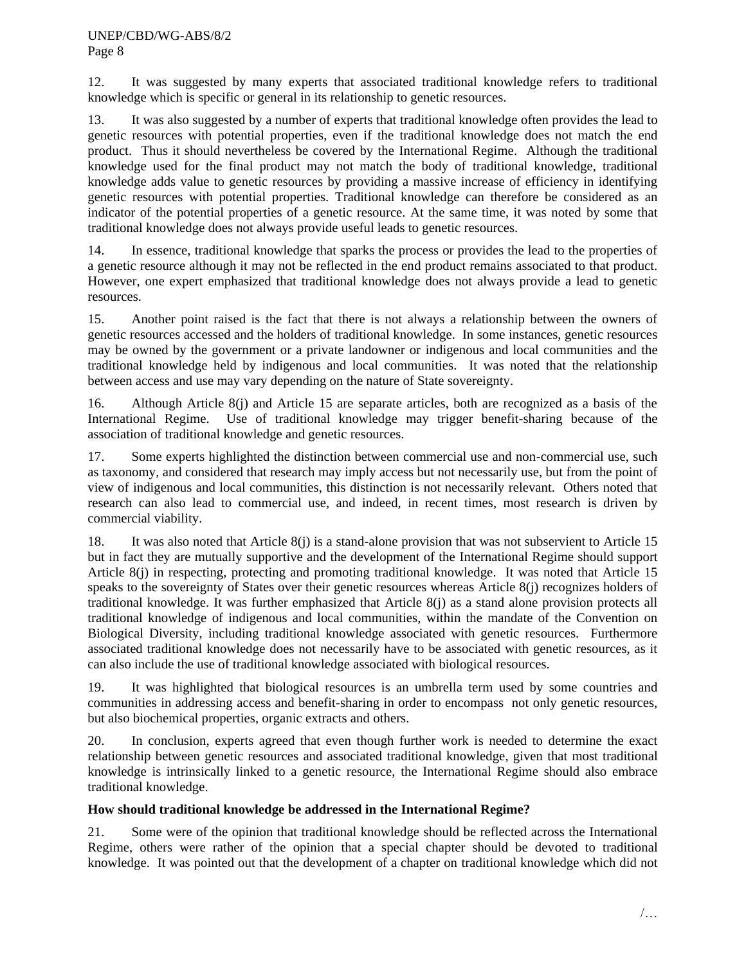12. It was suggested by many experts that associated traditional knowledge refers to traditional knowledge which is specific or general in its relationship to genetic resources.

13. It was also suggested by a number of experts that traditional knowledge often provides the lead to genetic resources with potential properties, even if the traditional knowledge does not match the end product. Thus it should nevertheless be covered by the International Regime. Although the traditional knowledge used for the final product may not match the body of traditional knowledge, traditional knowledge adds value to genetic resources by providing a massive increase of efficiency in identifying genetic resources with potential properties. Traditional knowledge can therefore be considered as an indicator of the potential properties of a genetic resource. At the same time, it was noted by some that traditional knowledge does not always provide useful leads to genetic resources.

14. In essence, traditional knowledge that sparks the process or provides the lead to the properties of a genetic resource although it may not be reflected in the end product remains associated to that product. However, one expert emphasized that traditional knowledge does not always provide a lead to genetic resources.

15. Another point raised is the fact that there is not always a relationship between the owners of genetic resources accessed and the holders of traditional knowledge. In some instances, genetic resources may be owned by the government or a private landowner or indigenous and local communities and the traditional knowledge held by indigenous and local communities. It was noted that the relationship between access and use may vary depending on the nature of State sovereignty.

16. Although Article 8(j) and Article 15 are separate articles, both are recognized as a basis of the International Regime. Use of traditional knowledge may trigger benefit-sharing because of the association of traditional knowledge and genetic resources.

17. Some experts highlighted the distinction between commercial use and non-commercial use, such as taxonomy, and considered that research may imply access but not necessarily use, but from the point of view of indigenous and local communities, this distinction is not necessarily relevant. Others noted that research can also lead to commercial use, and indeed, in recent times, most research is driven by commercial viability.

18. It was also noted that Article 8(j) is a stand-alone provision that was not subservient to Article 15 but in fact they are mutually supportive and the development of the International Regime should support Article 8(j) in respecting, protecting and promoting traditional knowledge. It was noted that Article 15 speaks to the sovereignty of States over their genetic resources whereas Article 8(j) recognizes holders of traditional knowledge. It was further emphasized that Article 8(j) as a stand alone provision protects all traditional knowledge of indigenous and local communities, within the mandate of the Convention on Biological Diversity, including traditional knowledge associated with genetic resources. Furthermore associated traditional knowledge does not necessarily have to be associated with genetic resources, as it can also include the use of traditional knowledge associated with biological resources.

19. It was highlighted that biological resources is an umbrella term used by some countries and communities in addressing access and benefit-sharing in order to encompass not only genetic resources, but also biochemical properties, organic extracts and others.

20. In conclusion, experts agreed that even though further work is needed to determine the exact relationship between genetic resources and associated traditional knowledge, given that most traditional knowledge is intrinsically linked to a genetic resource, the International Regime should also embrace traditional knowledge.

# **How should traditional knowledge be addressed in the International Regime?**

21. Some were of the opinion that traditional knowledge should be reflected across the International Regime, others were rather of the opinion that a special chapter should be devoted to traditional knowledge. It was pointed out that the development of a chapter on traditional knowledge which did not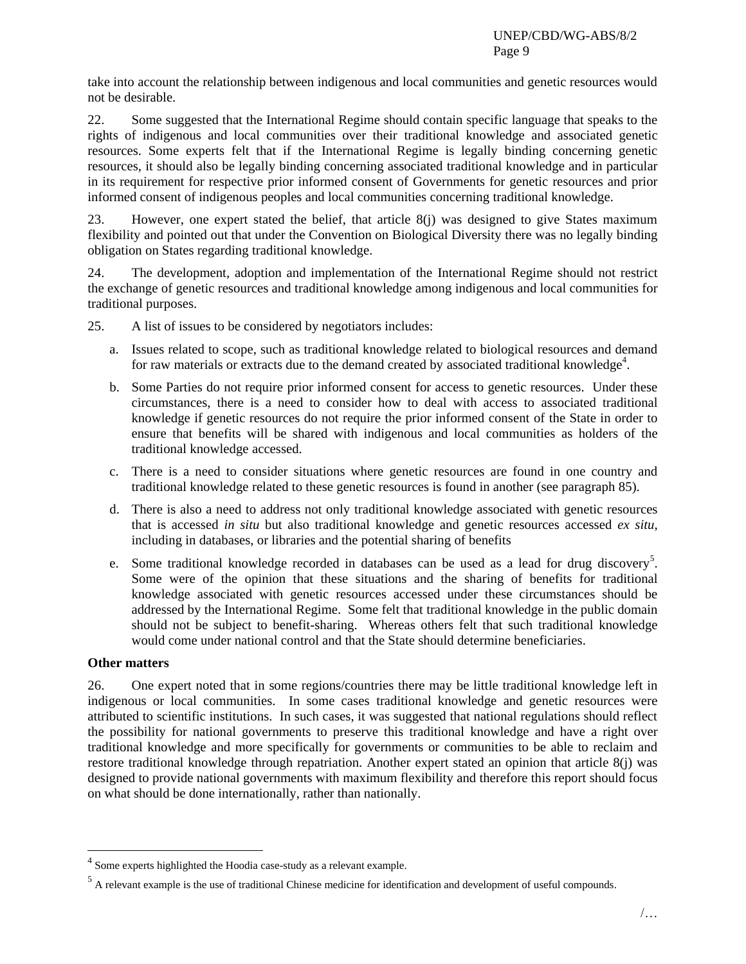take into account the relationship between indigenous and local communities and genetic resources would not be desirable.

22. Some suggested that the International Regime should contain specific language that speaks to the rights of indigenous and local communities over their traditional knowledge and associated genetic resources. Some experts felt that if the International Regime is legally binding concerning genetic resources, it should also be legally binding concerning associated traditional knowledge and in particular in its requirement for respective prior informed consent of Governments for genetic resources and prior informed consent of indigenous peoples and local communities concerning traditional knowledge.

23. However, one expert stated the belief, that article 8(j) was designed to give States maximum flexibility and pointed out that under the Convention on Biological Diversity there was no legally binding obligation on States regarding traditional knowledge.

24. The development, adoption and implementation of the International Regime should not restrict the exchange of genetic resources and traditional knowledge among indigenous and local communities for traditional purposes.

25. A list of issues to be considered by negotiators includes:

- a. Issues related to scope, such as traditional knowledge related to biological resources and demand for raw materials or extracts due to the demand created by associated traditional knowledge<sup>4</sup>.
- b. Some Parties do not require prior informed consent for access to genetic resources. Under these circumstances, there is a need to consider how to deal with access to associated traditional knowledge if genetic resources do not require the prior informed consent of the State in order to ensure that benefits will be shared with indigenous and local communities as holders of the traditional knowledge accessed.
- c. There is a need to consider situations where genetic resources are found in one country and traditional knowledge related to these genetic resources is found in another (see paragraph 85).
- d. There is also a need to address not only traditional knowledge associated with genetic resources that is accessed *in situ* but also traditional knowledge and genetic resources accessed *ex situ*, including in databases, or libraries and the potential sharing of benefits
- e. Some traditional knowledge recorded in databases can be used as a lead for drug discovery<sup>5</sup>. Some were of the opinion that these situations and the sharing of benefits for traditional knowledge associated with genetic resources accessed under these circumstances should be addressed by the International Regime. Some felt that traditional knowledge in the public domain should not be subject to benefit-sharing. Whereas others felt that such traditional knowledge would come under national control and that the State should determine beneficiaries.

### **Other matters**

l

26. One expert noted that in some regions/countries there may be little traditional knowledge left in indigenous or local communities. In some cases traditional knowledge and genetic resources were attributed to scientific institutions. In such cases, it was suggested that national regulations should reflect the possibility for national governments to preserve this traditional knowledge and have a right over traditional knowledge and more specifically for governments or communities to be able to reclaim and restore traditional knowledge through repatriation. Another expert stated an opinion that article 8(j) was designed to provide national governments with maximum flexibility and therefore this report should focus on what should be done internationally, rather than nationally.

<sup>&</sup>lt;sup>4</sup> Some experts highlighted the Hoodia case-study as a relevant example.

 $<sup>5</sup>$  A relevant example is the use of traditional Chinese medicine for identification and development of useful compounds.</sup>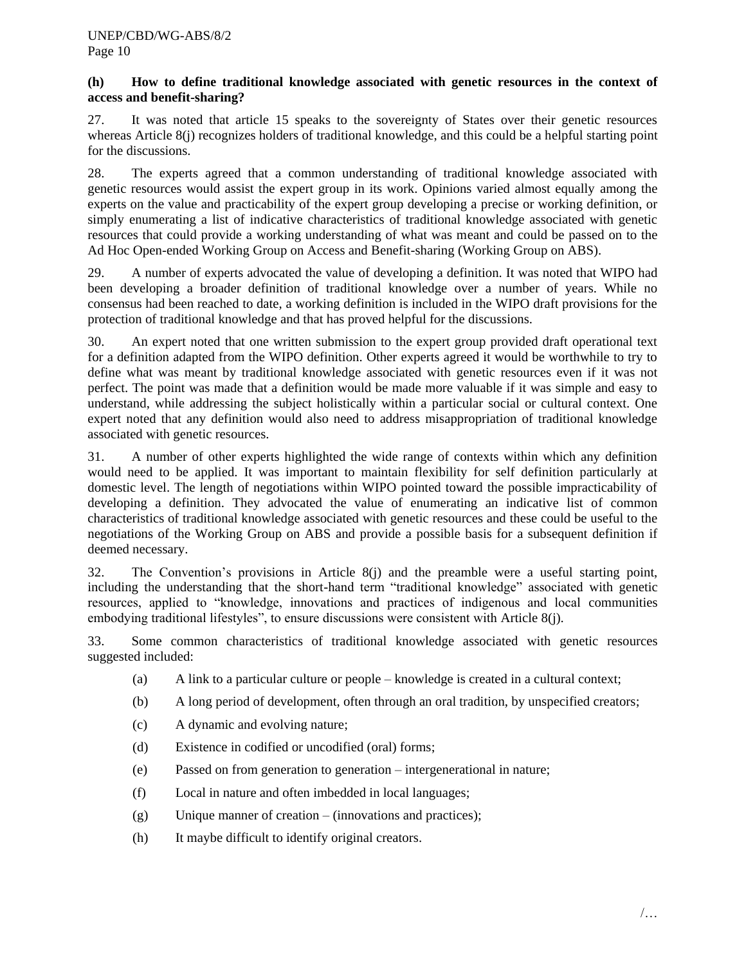## **(h) How to define traditional knowledge associated with genetic resources in the context of access and benefit-sharing?**

27. It was noted that article 15 speaks to the sovereignty of States over their genetic resources whereas Article 8(j) recognizes holders of traditional knowledge, and this could be a helpful starting point for the discussions.

28. The experts agreed that a common understanding of traditional knowledge associated with genetic resources would assist the expert group in its work. Opinions varied almost equally among the experts on the value and practicability of the expert group developing a precise or working definition, or simply enumerating a list of indicative characteristics of traditional knowledge associated with genetic resources that could provide a working understanding of what was meant and could be passed on to the Ad Hoc Open-ended Working Group on Access and Benefit-sharing (Working Group on ABS).

29. A number of experts advocated the value of developing a definition. It was noted that WIPO had been developing a broader definition of traditional knowledge over a number of years. While no consensus had been reached to date, a working definition is included in the WIPO draft provisions for the protection of traditional knowledge and that has proved helpful for the discussions.

30. An expert noted that one written submission to the expert group provided draft operational text for a definition adapted from the WIPO definition. Other experts agreed it would be worthwhile to try to define what was meant by traditional knowledge associated with genetic resources even if it was not perfect. The point was made that a definition would be made more valuable if it was simple and easy to understand, while addressing the subject holistically within a particular social or cultural context. One expert noted that any definition would also need to address misappropriation of traditional knowledge associated with genetic resources.

31. A number of other experts highlighted the wide range of contexts within which any definition would need to be applied. It was important to maintain flexibility for self definition particularly at domestic level. The length of negotiations within WIPO pointed toward the possible impracticability of developing a definition. They advocated the value of enumerating an indicative list of common characteristics of traditional knowledge associated with genetic resources and these could be useful to the negotiations of the Working Group on ABS and provide a possible basis for a subsequent definition if deemed necessary.

32. The Convention"s provisions in Article 8(j) and the preamble were a useful starting point, including the understanding that the short-hand term "traditional knowledge" associated with genetic resources, applied to "knowledge, innovations and practices of indigenous and local communities embodying traditional lifestyles", to ensure discussions were consistent with Article 8(j).

33. Some common characteristics of traditional knowledge associated with genetic resources suggested included:

- (a) A link to a particular culture or people knowledge is created in a cultural context;
- (b) A long period of development, often through an oral tradition, by unspecified creators;
- (c) A dynamic and evolving nature;
- (d) Existence in codified or uncodified (oral) forms;
- (e) Passed on from generation to generation intergenerational in nature;
- (f) Local in nature and often imbedded in local languages;
- (g) Unique manner of creation (innovations and practices);
- (h) It maybe difficult to identify original creators.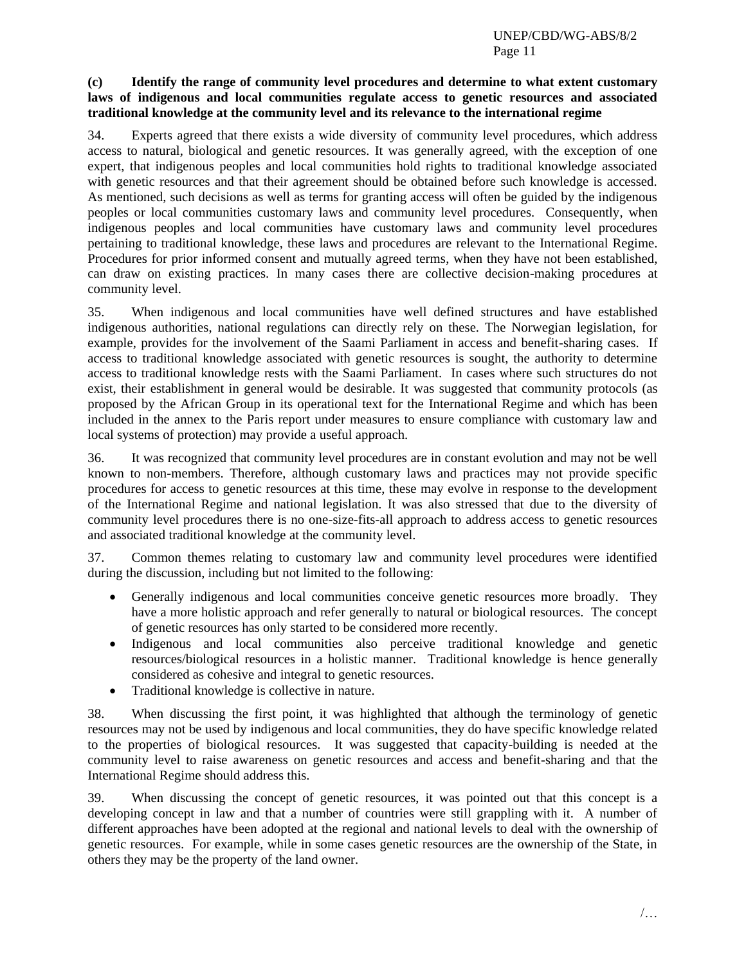#### UNEP/CBD/WG-ABS/8/2 Page 11

## **(c) Identify the range of community level procedures and determine to what extent customary laws of indigenous and local communities regulate access to genetic resources and associated traditional knowledge at the community level and its relevance to the international regime**

34. Experts agreed that there exists a wide diversity of community level procedures, which address access to natural, biological and genetic resources. It was generally agreed, with the exception of one expert, that indigenous peoples and local communities hold rights to traditional knowledge associated with genetic resources and that their agreement should be obtained before such knowledge is accessed. As mentioned, such decisions as well as terms for granting access will often be guided by the indigenous peoples or local communities customary laws and community level procedures. Consequently, when indigenous peoples and local communities have customary laws and community level procedures pertaining to traditional knowledge, these laws and procedures are relevant to the International Regime. Procedures for prior informed consent and mutually agreed terms, when they have not been established, can draw on existing practices. In many cases there are collective decision-making procedures at community level.

35. When indigenous and local communities have well defined structures and have established indigenous authorities, national regulations can directly rely on these. The Norwegian legislation, for example, provides for the involvement of the Saami Parliament in access and benefit-sharing cases. If access to traditional knowledge associated with genetic resources is sought, the authority to determine access to traditional knowledge rests with the Saami Parliament. In cases where such structures do not exist, their establishment in general would be desirable. It was suggested that community protocols (as proposed by the African Group in its operational text for the International Regime and which has been included in the annex to the Paris report under measures to ensure compliance with customary law and local systems of protection) may provide a useful approach.

36. It was recognized that community level procedures are in constant evolution and may not be well known to non-members. Therefore, although customary laws and practices may not provide specific procedures for access to genetic resources at this time, these may evolve in response to the development of the International Regime and national legislation. It was also stressed that due to the diversity of community level procedures there is no one-size-fits-all approach to address access to genetic resources and associated traditional knowledge at the community level.

37. Common themes relating to customary law and community level procedures were identified during the discussion, including but not limited to the following:

- Generally indigenous and local communities conceive genetic resources more broadly. They have a more holistic approach and refer generally to natural or biological resources. The concept of genetic resources has only started to be considered more recently.
- Indigenous and local communities also perceive traditional knowledge and genetic resources/biological resources in a holistic manner. Traditional knowledge is hence generally considered as cohesive and integral to genetic resources.
- Traditional knowledge is collective in nature.

38. When discussing the first point, it was highlighted that although the terminology of genetic resources may not be used by indigenous and local communities, they do have specific knowledge related to the properties of biological resources. It was suggested that capacity-building is needed at the community level to raise awareness on genetic resources and access and benefit-sharing and that the International Regime should address this.

39. When discussing the concept of genetic resources, it was pointed out that this concept is a developing concept in law and that a number of countries were still grappling with it. A number of different approaches have been adopted at the regional and national levels to deal with the ownership of genetic resources. For example, while in some cases genetic resources are the ownership of the State, in others they may be the property of the land owner.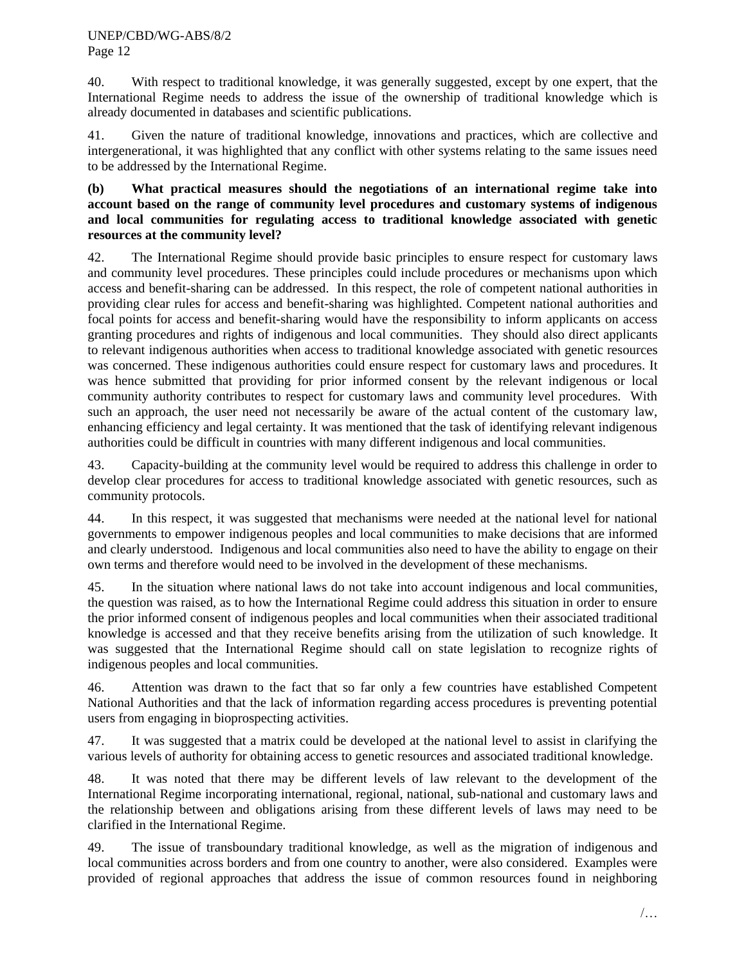40. With respect to traditional knowledge, it was generally suggested, except by one expert, that the International Regime needs to address the issue of the ownership of traditional knowledge which is already documented in databases and scientific publications.

41. Given the nature of traditional knowledge, innovations and practices, which are collective and intergenerational, it was highlighted that any conflict with other systems relating to the same issues need to be addressed by the International Regime.

## **(b) What practical measures should the negotiations of an international regime take into account based on the range of community level procedures and customary systems of indigenous and local communities for regulating access to traditional knowledge associated with genetic resources at the community level?**

42. The International Regime should provide basic principles to ensure respect for customary laws and community level procedures. These principles could include procedures or mechanisms upon which access and benefit-sharing can be addressed. In this respect, the role of competent national authorities in providing clear rules for access and benefit-sharing was highlighted. Competent national authorities and focal points for access and benefit-sharing would have the responsibility to inform applicants on access granting procedures and rights of indigenous and local communities. They should also direct applicants to relevant indigenous authorities when access to traditional knowledge associated with genetic resources was concerned. These indigenous authorities could ensure respect for customary laws and procedures. It was hence submitted that providing for prior informed consent by the relevant indigenous or local community authority contributes to respect for customary laws and community level procedures. With such an approach, the user need not necessarily be aware of the actual content of the customary law, enhancing efficiency and legal certainty. It was mentioned that the task of identifying relevant indigenous authorities could be difficult in countries with many different indigenous and local communities.

43. Capacity-building at the community level would be required to address this challenge in order to develop clear procedures for access to traditional knowledge associated with genetic resources, such as community protocols.

44. In this respect, it was suggested that mechanisms were needed at the national level for national governments to empower indigenous peoples and local communities to make decisions that are informed and clearly understood. Indigenous and local communities also need to have the ability to engage on their own terms and therefore would need to be involved in the development of these mechanisms.

45. In the situation where national laws do not take into account indigenous and local communities, the question was raised, as to how the International Regime could address this situation in order to ensure the prior informed consent of indigenous peoples and local communities when their associated traditional knowledge is accessed and that they receive benefits arising from the utilization of such knowledge. It was suggested that the International Regime should call on state legislation to recognize rights of indigenous peoples and local communities.

46. Attention was drawn to the fact that so far only a few countries have established Competent National Authorities and that the lack of information regarding access procedures is preventing potential users from engaging in bioprospecting activities.

47. It was suggested that a matrix could be developed at the national level to assist in clarifying the various levels of authority for obtaining access to genetic resources and associated traditional knowledge.

48. It was noted that there may be different levels of law relevant to the development of the International Regime incorporating international, regional, national, sub-national and customary laws and the relationship between and obligations arising from these different levels of laws may need to be clarified in the International Regime.

49. The issue of transboundary traditional knowledge, as well as the migration of indigenous and local communities across borders and from one country to another, were also considered. Examples were provided of regional approaches that address the issue of common resources found in neighboring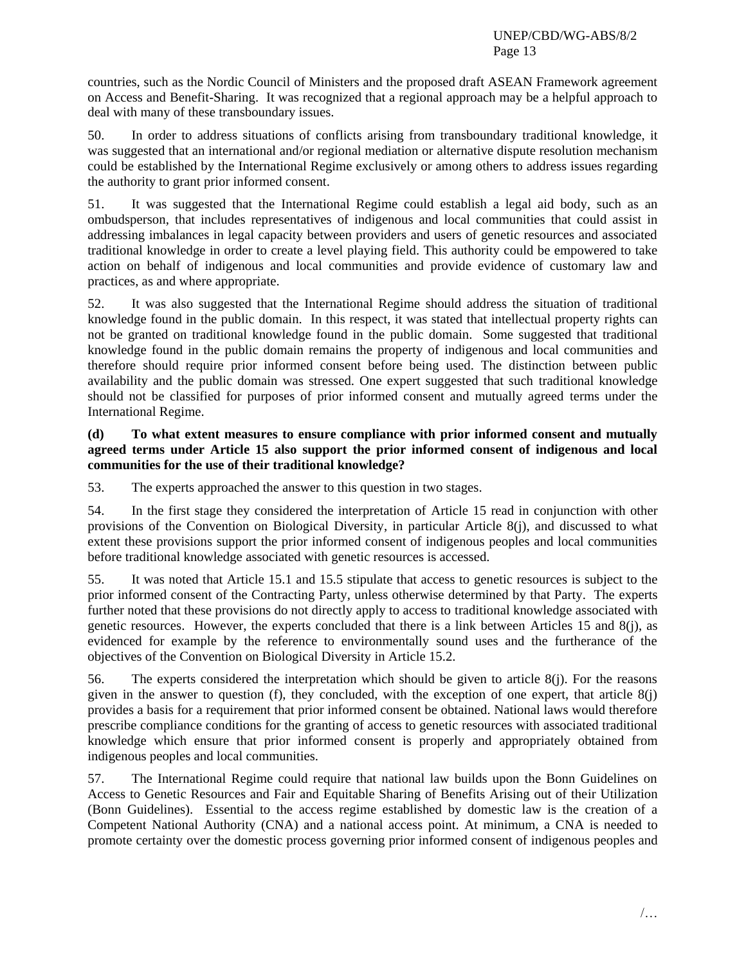countries, such as the Nordic Council of Ministers and the proposed draft ASEAN Framework agreement on Access and Benefit-Sharing. It was recognized that a regional approach may be a helpful approach to deal with many of these transboundary issues.

50. In order to address situations of conflicts arising from transboundary traditional knowledge, it was suggested that an international and/or regional mediation or alternative dispute resolution mechanism could be established by the International Regime exclusively or among others to address issues regarding the authority to grant prior informed consent.

51. It was suggested that the International Regime could establish a legal aid body, such as an ombudsperson, that includes representatives of indigenous and local communities that could assist in addressing imbalances in legal capacity between providers and users of genetic resources and associated traditional knowledge in order to create a level playing field. This authority could be empowered to take action on behalf of indigenous and local communities and provide evidence of customary law and practices, as and where appropriate.

52. It was also suggested that the International Regime should address the situation of traditional knowledge found in the public domain. In this respect, it was stated that intellectual property rights can not be granted on traditional knowledge found in the public domain. Some suggested that traditional knowledge found in the public domain remains the property of indigenous and local communities and therefore should require prior informed consent before being used. The distinction between public availability and the public domain was stressed. One expert suggested that such traditional knowledge should not be classified for purposes of prior informed consent and mutually agreed terms under the International Regime.

### **(d) To what extent measures to ensure compliance with prior informed consent and mutually agreed terms under Article 15 also support the prior informed consent of indigenous and local communities for the use of their traditional knowledge?**

53. The experts approached the answer to this question in two stages.

54. In the first stage they considered the interpretation of Article 15 read in conjunction with other provisions of the Convention on Biological Diversity, in particular Article 8(j), and discussed to what extent these provisions support the prior informed consent of indigenous peoples and local communities before traditional knowledge associated with genetic resources is accessed.

55. It was noted that Article 15.1 and 15.5 stipulate that access to genetic resources is subject to the prior informed consent of the Contracting Party, unless otherwise determined by that Party. The experts further noted that these provisions do not directly apply to access to traditional knowledge associated with genetic resources. However, the experts concluded that there is a link between Articles 15 and 8(j), as evidenced for example by the reference to environmentally sound uses and the furtherance of the objectives of the Convention on Biological Diversity in Article 15.2.

56. The experts considered the interpretation which should be given to article 8(j). For the reasons given in the answer to question (f), they concluded, with the exception of one expert, that article  $8(i)$ provides a basis for a requirement that prior informed consent be obtained. National laws would therefore prescribe compliance conditions for the granting of access to genetic resources with associated traditional knowledge which ensure that prior informed consent is properly and appropriately obtained from indigenous peoples and local communities.

57. The International Regime could require that national law builds upon the Bonn Guidelines on Access to Genetic Resources and Fair and Equitable Sharing of Benefits Arising out of their Utilization (Bonn Guidelines). Essential to the access regime established by domestic law is the creation of a Competent National Authority (CNA) and a national access point. At minimum, a CNA is needed to promote certainty over the domestic process governing prior informed consent of indigenous peoples and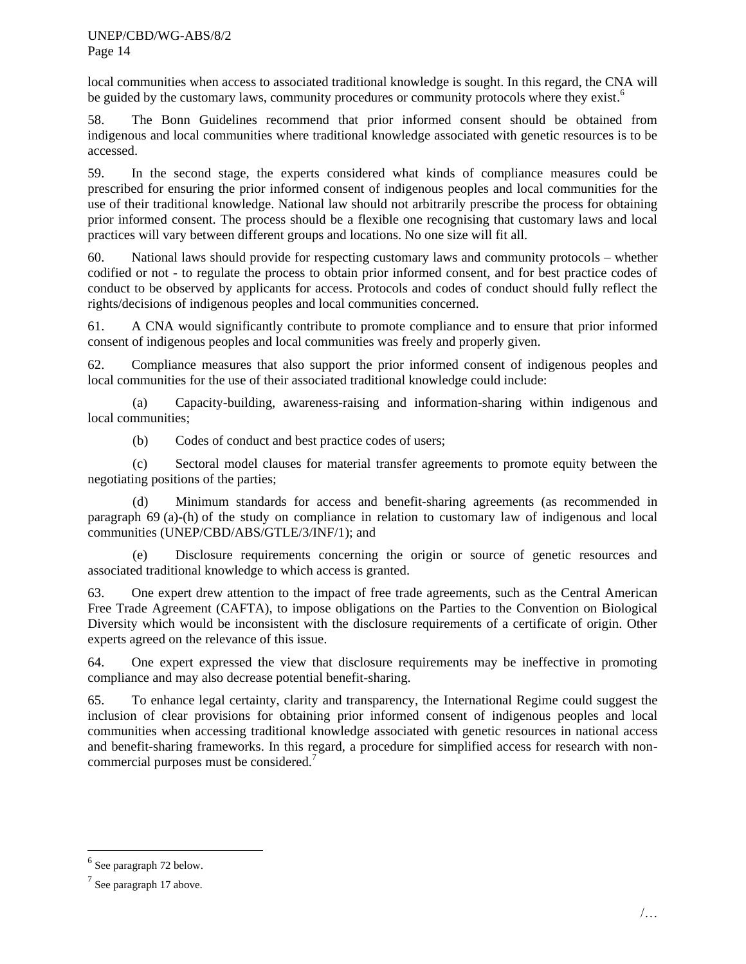local communities when access to associated traditional knowledge is sought. In this regard, the CNA will be guided by the customary laws, community procedures or community protocols where they exist.<sup>6</sup>

58. The Bonn Guidelines recommend that prior informed consent should be obtained from indigenous and local communities where traditional knowledge associated with genetic resources is to be accessed.

59. In the second stage, the experts considered what kinds of compliance measures could be prescribed for ensuring the prior informed consent of indigenous peoples and local communities for the use of their traditional knowledge. National law should not arbitrarily prescribe the process for obtaining prior informed consent. The process should be a flexible one recognising that customary laws and local practices will vary between different groups and locations. No one size will fit all.

60. National laws should provide for respecting customary laws and community protocols – whether codified or not - to regulate the process to obtain prior informed consent, and for best practice codes of conduct to be observed by applicants for access. Protocols and codes of conduct should fully reflect the rights/decisions of indigenous peoples and local communities concerned.

61. A CNA would significantly contribute to promote compliance and to ensure that prior informed consent of indigenous peoples and local communities was freely and properly given.

62. Compliance measures that also support the prior informed consent of indigenous peoples and local communities for the use of their associated traditional knowledge could include:

(a) Capacity-building, awareness-raising and information-sharing within indigenous and local communities;

(b) Codes of conduct and best practice codes of users;

(c) Sectoral model clauses for material transfer agreements to promote equity between the negotiating positions of the parties;

(d) Minimum standards for access and benefit-sharing agreements (as recommended in paragraph 69 (a)-(h) of the study on compliance in relation to customary law of indigenous and local communities (UNEP/CBD/ABS/GTLE/3/INF/1); and

(e) Disclosure requirements concerning the origin or source of genetic resources and associated traditional knowledge to which access is granted.

63. One expert drew attention to the impact of free trade agreements, such as the Central American Free Trade Agreement (CAFTA), to impose obligations on the Parties to the Convention on Biological Diversity which would be inconsistent with the disclosure requirements of a certificate of origin. Other experts agreed on the relevance of this issue.

64. One expert expressed the view that disclosure requirements may be ineffective in promoting compliance and may also decrease potential benefit-sharing.

65. To enhance legal certainty, clarity and transparency, the International Regime could suggest the inclusion of clear provisions for obtaining prior informed consent of indigenous peoples and local communities when accessing traditional knowledge associated with genetic resources in national access and benefit-sharing frameworks. In this regard, a procedure for simplified access for research with noncommercial purposes must be considered.<sup>7</sup>

l

 $<sup>6</sup>$  See paragrap[h 72](#page-15-0) below.</sup>

 $7$  See paragraph 17 above.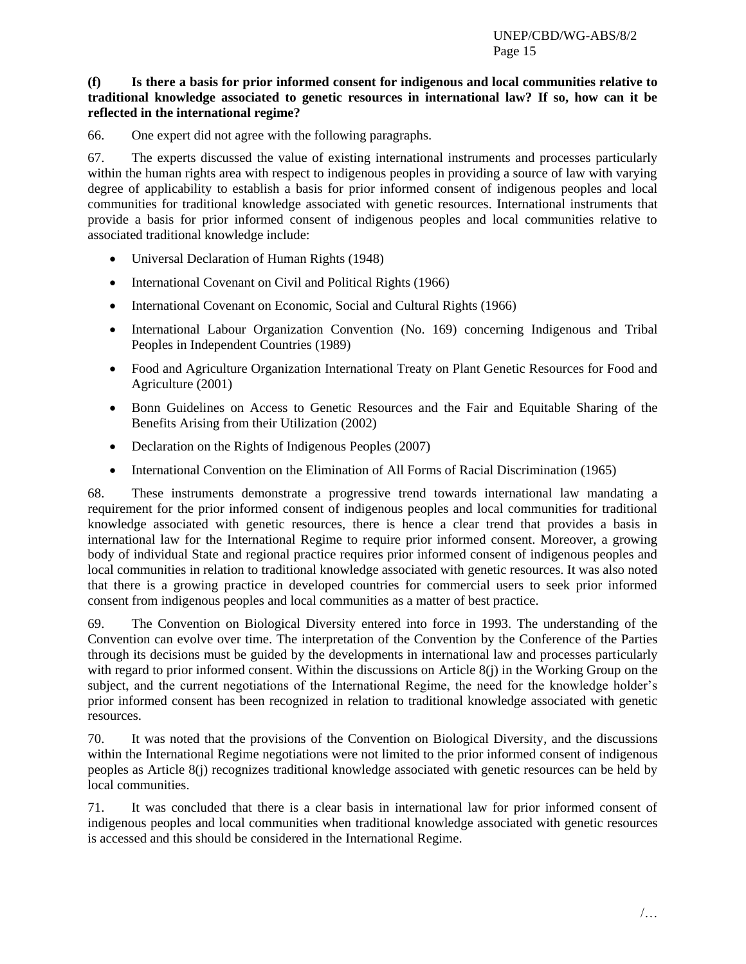## **(f) Is there a basis for prior informed consent for indigenous and local communities relative to traditional knowledge associated to genetic resources in international law? If so, how can it be reflected in the international regime?**

66. One expert did not agree with the following paragraphs.

67. The experts discussed the value of existing international instruments and processes particularly within the human rights area with respect to indigenous peoples in providing a source of law with varying degree of applicability to establish a basis for prior informed consent of indigenous peoples and local communities for traditional knowledge associated with genetic resources. International instruments that provide a basis for prior informed consent of indigenous peoples and local communities relative to associated traditional knowledge include:

- Universal Declaration of Human Rights (1948)
- International Covenant on Civil and Political Rights (1966)
- International Covenant on Economic, Social and Cultural Rights (1966)
- International Labour Organization Convention (No. 169) concerning Indigenous and Tribal Peoples in Independent Countries (1989)
- Food and Agriculture Organization International Treaty on Plant Genetic Resources for Food and Agriculture (2001)
- Bonn Guidelines on Access to Genetic Resources and the Fair and Equitable Sharing of the Benefits Arising from their Utilization (2002)
- Declaration on the Rights of Indigenous Peoples (2007)
- International Convention on the Elimination of All Forms of Racial Discrimination (1965)

68. These instruments demonstrate a progressive trend towards international law mandating a requirement for the prior informed consent of indigenous peoples and local communities for traditional knowledge associated with genetic resources, there is hence a clear trend that provides a basis in international law for the International Regime to require prior informed consent. Moreover, a growing body of individual State and regional practice requires prior informed consent of indigenous peoples and local communities in relation to traditional knowledge associated with genetic resources. It was also noted that there is a growing practice in developed countries for commercial users to seek prior informed consent from indigenous peoples and local communities as a matter of best practice.

69. The Convention on Biological Diversity entered into force in 1993. The understanding of the Convention can evolve over time. The interpretation of the Convention by the Conference of the Parties through its decisions must be guided by the developments in international law and processes particularly with regard to prior informed consent. Within the discussions on Article 8(j) in the Working Group on the subject, and the current negotiations of the International Regime, the need for the knowledge holder's prior informed consent has been recognized in relation to traditional knowledge associated with genetic resources.

70. It was noted that the provisions of the Convention on Biological Diversity, and the discussions within the International Regime negotiations were not limited to the prior informed consent of indigenous peoples as Article 8(j) recognizes traditional knowledge associated with genetic resources can be held by local communities.

71. It was concluded that there is a clear basis in international law for prior informed consent of indigenous peoples and local communities when traditional knowledge associated with genetic resources is accessed and this should be considered in the International Regime.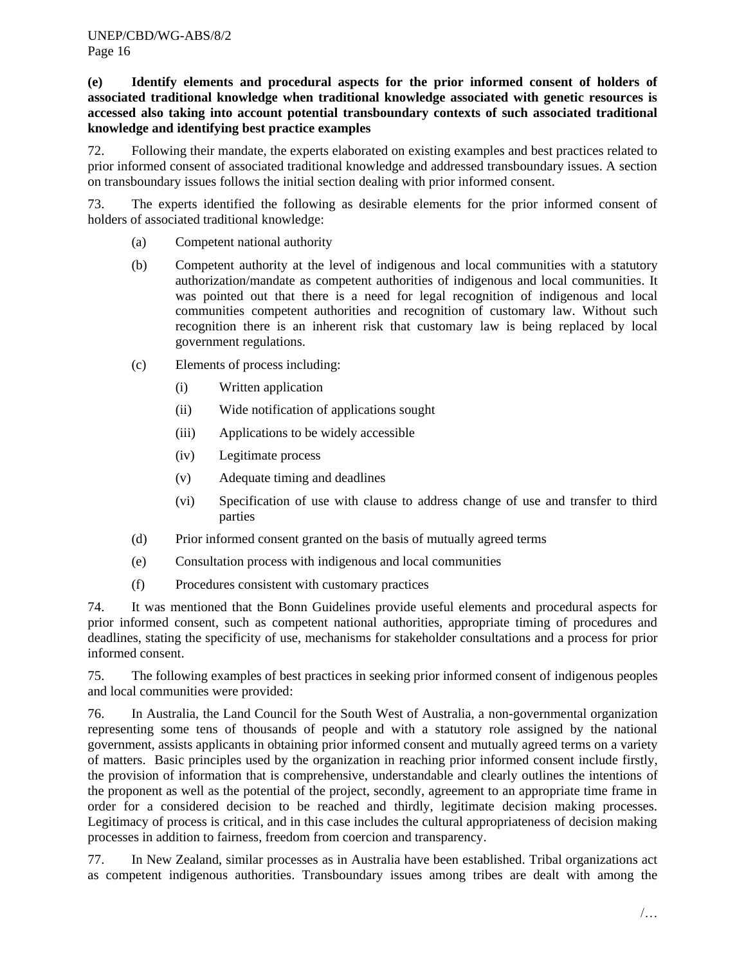**(e) Identify elements and procedural aspects for the prior informed consent of holders of associated traditional knowledge when traditional knowledge associated with genetic resources is accessed also taking into account potential transboundary contexts of such associated traditional knowledge and identifying best practice examples**

<span id="page-15-0"></span>72. Following their mandate, the experts elaborated on existing examples and best practices related to prior informed consent of associated traditional knowledge and addressed transboundary issues. A section on transboundary issues follows the initial section dealing with prior informed consent.

73. The experts identified the following as desirable elements for the prior informed consent of holders of associated traditional knowledge:

- (a) Competent national authority
- (b) Competent authority at the level of indigenous and local communities with a statutory authorization/mandate as competent authorities of indigenous and local communities. It was pointed out that there is a need for legal recognition of indigenous and local communities competent authorities and recognition of customary law. Without such recognition there is an inherent risk that customary law is being replaced by local government regulations.
- (c) Elements of process including:
	- (i) Written application
	- (ii) Wide notification of applications sought
	- (iii) Applications to be widely accessible
	- (iv) Legitimate process
	- (v) Adequate timing and deadlines
	- (vi) Specification of use with clause to address change of use and transfer to third parties
- (d) Prior informed consent granted on the basis of mutually agreed terms
- (e) Consultation process with indigenous and local communities
- (f) Procedures consistent with customary practices

74. It was mentioned that the Bonn Guidelines provide useful elements and procedural aspects for prior informed consent, such as competent national authorities, appropriate timing of procedures and deadlines, stating the specificity of use, mechanisms for stakeholder consultations and a process for prior informed consent.

75. The following examples of best practices in seeking prior informed consent of indigenous peoples and local communities were provided:

76. In Australia, the Land Council for the South West of Australia, a non-governmental organization representing some tens of thousands of people and with a statutory role assigned by the national government, assists applicants in obtaining prior informed consent and mutually agreed terms on a variety of matters. Basic principles used by the organization in reaching prior informed consent include firstly, the provision of information that is comprehensive, understandable and clearly outlines the intentions of the proponent as well as the potential of the project, secondly, agreement to an appropriate time frame in order for a considered decision to be reached and thirdly, legitimate decision making processes. Legitimacy of process is critical, and in this case includes the cultural appropriateness of decision making processes in addition to fairness, freedom from coercion and transparency.

77. In New Zealand, similar processes as in Australia have been established. Tribal organizations act as competent indigenous authorities. Transboundary issues among tribes are dealt with among the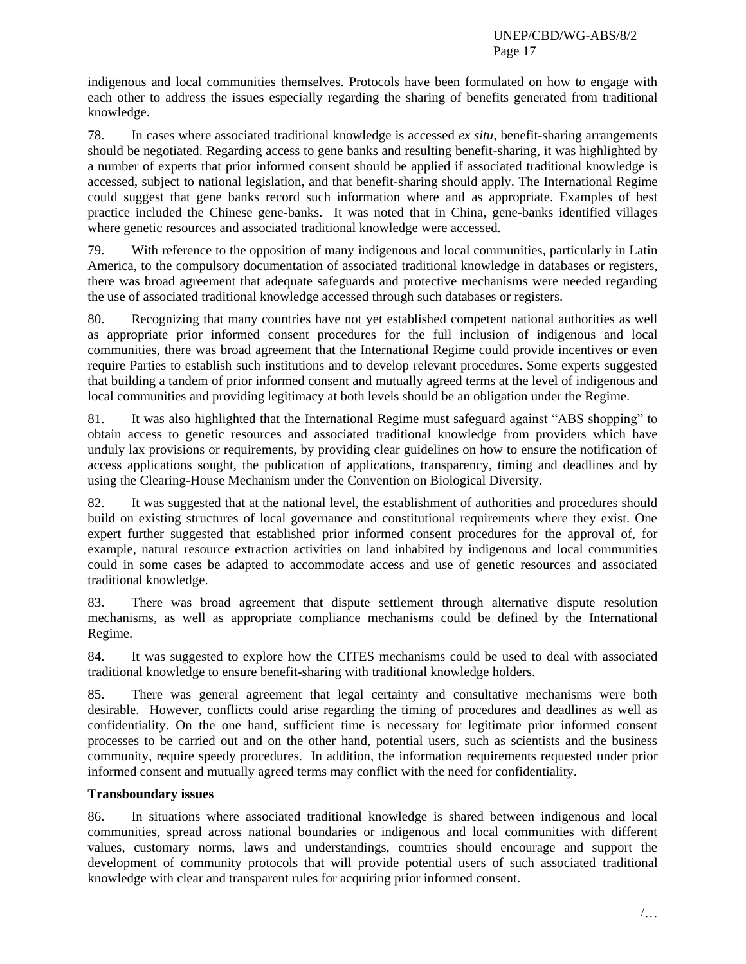indigenous and local communities themselves. Protocols have been formulated on how to engage with each other to address the issues especially regarding the sharing of benefits generated from traditional knowledge.

78. In cases where associated traditional knowledge is accessed *ex situ,* benefit-sharing arrangements should be negotiated. Regarding access to gene banks and resulting benefit-sharing, it was highlighted by a number of experts that prior informed consent should be applied if associated traditional knowledge is accessed, subject to national legislation, and that benefit-sharing should apply. The International Regime could suggest that gene banks record such information where and as appropriate. Examples of best practice included the Chinese gene-banks. It was noted that in China, gene-banks identified villages where genetic resources and associated traditional knowledge were accessed.

79. With reference to the opposition of many indigenous and local communities, particularly in Latin America, to the compulsory documentation of associated traditional knowledge in databases or registers, there was broad agreement that adequate safeguards and protective mechanisms were needed regarding the use of associated traditional knowledge accessed through such databases or registers.

80. Recognizing that many countries have not yet established competent national authorities as well as appropriate prior informed consent procedures for the full inclusion of indigenous and local communities, there was broad agreement that the International Regime could provide incentives or even require Parties to establish such institutions and to develop relevant procedures. Some experts suggested that building a tandem of prior informed consent and mutually agreed terms at the level of indigenous and local communities and providing legitimacy at both levels should be an obligation under the Regime.

81. It was also highlighted that the International Regime must safeguard against "ABS shopping" to obtain access to genetic resources and associated traditional knowledge from providers which have unduly lax provisions or requirements, by providing clear guidelines on how to ensure the notification of access applications sought, the publication of applications, transparency, timing and deadlines and by using the Clearing-House Mechanism under the Convention on Biological Diversity.

82. It was suggested that at the national level, the establishment of authorities and procedures should build on existing structures of local governance and constitutional requirements where they exist. One expert further suggested that established prior informed consent procedures for the approval of, for example, natural resource extraction activities on land inhabited by indigenous and local communities could in some cases be adapted to accommodate access and use of genetic resources and associated traditional knowledge.

83. There was broad agreement that dispute settlement through alternative dispute resolution mechanisms, as well as appropriate compliance mechanisms could be defined by the International Regime.

84. It was suggested to explore how the CITES mechanisms could be used to deal with associated traditional knowledge to ensure benefit-sharing with traditional knowledge holders.

85. There was general agreement that legal certainty and consultative mechanisms were both desirable. However, conflicts could arise regarding the timing of procedures and deadlines as well as confidentiality. On the one hand, sufficient time is necessary for legitimate prior informed consent processes to be carried out and on the other hand, potential users, such as scientists and the business community, require speedy procedures. In addition, the information requirements requested under prior informed consent and mutually agreed terms may conflict with the need for confidentiality.

# **Transboundary issues**

86. In situations where associated traditional knowledge is shared between indigenous and local communities, spread across national boundaries or indigenous and local communities with different values, customary norms, laws and understandings, countries should encourage and support the development of community protocols that will provide potential users of such associated traditional knowledge with clear and transparent rules for acquiring prior informed consent.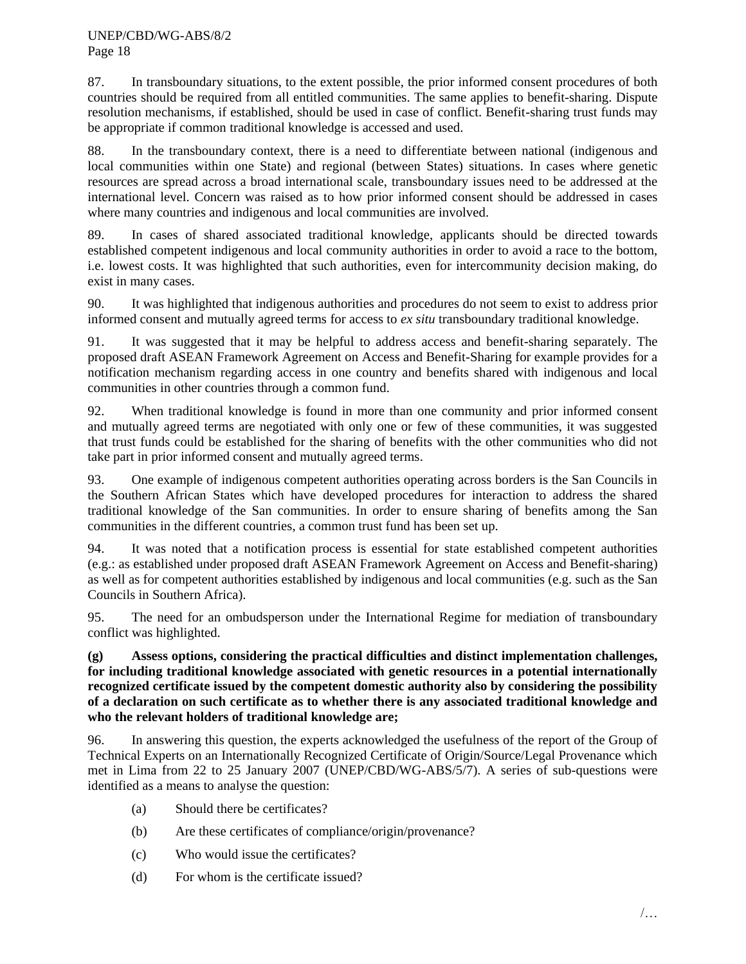87. In transboundary situations, to the extent possible, the prior informed consent procedures of both countries should be required from all entitled communities. The same applies to benefit-sharing. Dispute resolution mechanisms, if established, should be used in case of conflict. Benefit-sharing trust funds may be appropriate if common traditional knowledge is accessed and used.

88. In the transboundary context, there is a need to differentiate between national (indigenous and local communities within one State) and regional (between States) situations. In cases where genetic resources are spread across a broad international scale, transboundary issues need to be addressed at the international level. Concern was raised as to how prior informed consent should be addressed in cases where many countries and indigenous and local communities are involved.

89. In cases of shared associated traditional knowledge, applicants should be directed towards established competent indigenous and local community authorities in order to avoid a race to the bottom, i.e. lowest costs. It was highlighted that such authorities, even for intercommunity decision making, do exist in many cases.

90. It was highlighted that indigenous authorities and procedures do not seem to exist to address prior informed consent and mutually agreed terms for access to *ex situ* transboundary traditional knowledge.

91. It was suggested that it may be helpful to address access and benefit-sharing separately. The proposed draft ASEAN Framework Agreement on Access and Benefit-Sharing for example provides for a notification mechanism regarding access in one country and benefits shared with indigenous and local communities in other countries through a common fund.

92. When traditional knowledge is found in more than one community and prior informed consent and mutually agreed terms are negotiated with only one or few of these communities, it was suggested that trust funds could be established for the sharing of benefits with the other communities who did not take part in prior informed consent and mutually agreed terms.

93. One example of indigenous competent authorities operating across borders is the San Councils in the Southern African States which have developed procedures for interaction to address the shared traditional knowledge of the San communities. In order to ensure sharing of benefits among the San communities in the different countries, a common trust fund has been set up.

94. It was noted that a notification process is essential for state established competent authorities (e.g.: as established under proposed draft ASEAN Framework Agreement on Access and Benefit-sharing) as well as for competent authorities established by indigenous and local communities (e.g. such as the San Councils in Southern Africa).

95. The need for an ombudsperson under the International Regime for mediation of transboundary conflict was highlighted.

**(g) Assess options, considering the practical difficulties and distinct implementation challenges, for including traditional knowledge associated with genetic resources in a potential internationally recognized certificate issued by the competent domestic authority also by considering the possibility of a declaration on such certificate as to whether there is any associated traditional knowledge and who the relevant holders of traditional knowledge are;**

96. In answering this question, the experts acknowledged the usefulness of the report of the Group of Technical Experts on an Internationally Recognized Certificate of Origin/Source/Legal Provenance which met in Lima from 22 to 25 January 2007 (UNEP/CBD/WG-ABS/5/7). A series of sub-questions were identified as a means to analyse the question:

- (a) Should there be certificates?
- (b) Are these certificates of compliance/origin/provenance?
- (c) Who would issue the certificates?
- (d) For whom is the certificate issued?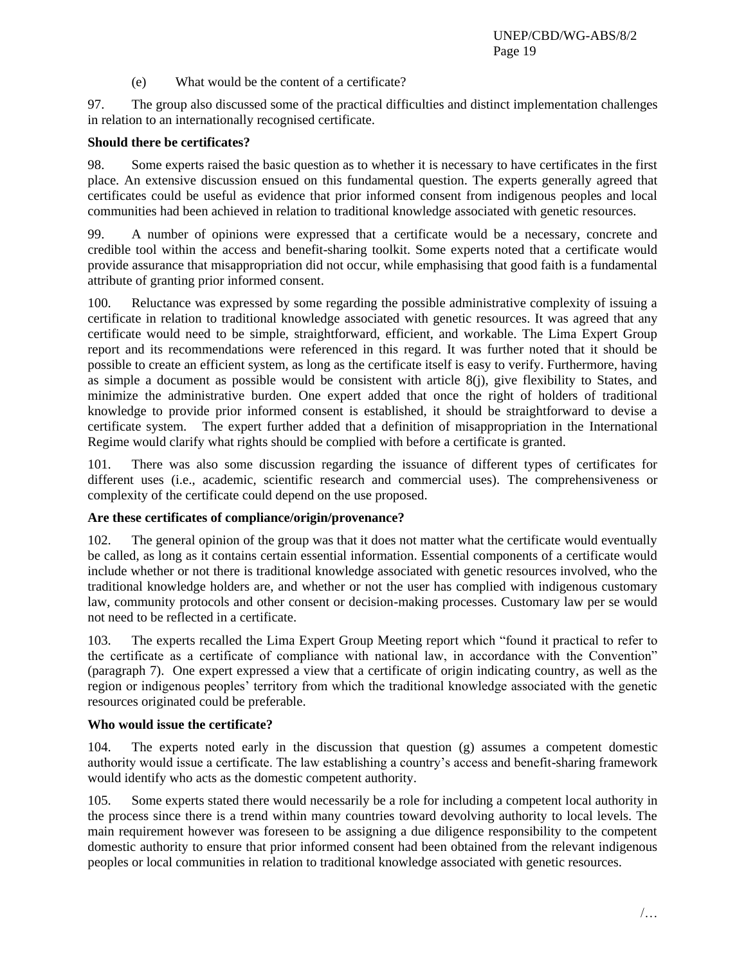(e) What would be the content of a certificate?

97. The group also discussed some of the practical difficulties and distinct implementation challenges in relation to an internationally recognised certificate.

## **Should there be certificates?**

98. Some experts raised the basic question as to whether it is necessary to have certificates in the first place. An extensive discussion ensued on this fundamental question. The experts generally agreed that certificates could be useful as evidence that prior informed consent from indigenous peoples and local communities had been achieved in relation to traditional knowledge associated with genetic resources.

99. A number of opinions were expressed that a certificate would be a necessary, concrete and credible tool within the access and benefit-sharing toolkit. Some experts noted that a certificate would provide assurance that misappropriation did not occur, while emphasising that good faith is a fundamental attribute of granting prior informed consent.

100. Reluctance was expressed by some regarding the possible administrative complexity of issuing a certificate in relation to traditional knowledge associated with genetic resources. It was agreed that any certificate would need to be simple, straightforward, efficient, and workable. The Lima Expert Group report and its recommendations were referenced in this regard. It was further noted that it should be possible to create an efficient system, as long as the certificate itself is easy to verify. Furthermore, having as simple a document as possible would be consistent with article  $8(j)$ , give flexibility to States, and minimize the administrative burden. One expert added that once the right of holders of traditional knowledge to provide prior informed consent is established, it should be straightforward to devise a certificate system. The expert further added that a definition of misappropriation in the International Regime would clarify what rights should be complied with before a certificate is granted.

101. There was also some discussion regarding the issuance of different types of certificates for different uses (i.e., academic, scientific research and commercial uses). The comprehensiveness or complexity of the certificate could depend on the use proposed.

# **Are these certificates of compliance/origin/provenance?**

102. The general opinion of the group was that it does not matter what the certificate would eventually be called, as long as it contains certain essential information. Essential components of a certificate would include whether or not there is traditional knowledge associated with genetic resources involved, who the traditional knowledge holders are, and whether or not the user has complied with indigenous customary law, community protocols and other consent or decision-making processes. Customary law per se would not need to be reflected in a certificate.

103. The experts recalled the Lima Expert Group Meeting report which "found it practical to refer to the certificate as a certificate of compliance with national law, in accordance with the Convention" (paragraph 7). One expert expressed a view that a certificate of origin indicating country, as well as the region or indigenous peoples" territory from which the traditional knowledge associated with the genetic resources originated could be preferable.

### **Who would issue the certificate?**

104. The experts noted early in the discussion that question (g) assumes a competent domestic authority would issue a certificate. The law establishing a country"s access and benefit-sharing framework would identify who acts as the domestic competent authority.

105. Some experts stated there would necessarily be a role for including a competent local authority in the process since there is a trend within many countries toward devolving authority to local levels. The main requirement however was foreseen to be assigning a due diligence responsibility to the competent domestic authority to ensure that prior informed consent had been obtained from the relevant indigenous peoples or local communities in relation to traditional knowledge associated with genetic resources.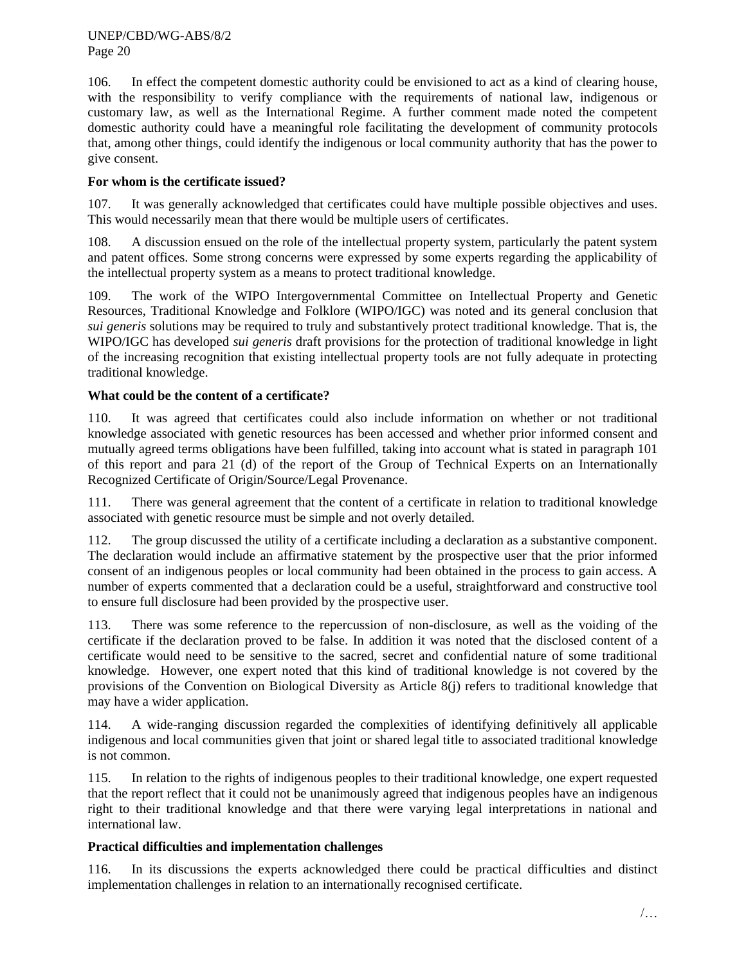UNEP/CBD/WG-ABS/8/2 Page 20

106. In effect the competent domestic authority could be envisioned to act as a kind of clearing house, with the responsibility to verify compliance with the requirements of national law, indigenous or customary law, as well as the International Regime. A further comment made noted the competent domestic authority could have a meaningful role facilitating the development of community protocols that, among other things, could identify the indigenous or local community authority that has the power to give consent.

## **For whom is the certificate issued?**

107. It was generally acknowledged that certificates could have multiple possible objectives and uses. This would necessarily mean that there would be multiple users of certificates.

108. A discussion ensued on the role of the intellectual property system, particularly the patent system and patent offices. Some strong concerns were expressed by some experts regarding the applicability of the intellectual property system as a means to protect traditional knowledge.

109. The work of the WIPO Intergovernmental Committee on Intellectual Property and Genetic Resources, Traditional Knowledge and Folklore (WIPO/IGC) was noted and its general conclusion that *sui generis* solutions may be required to truly and substantively protect traditional knowledge. That is, the WIPO/IGC has developed *sui generis* draft provisions for the protection of traditional knowledge in light of the increasing recognition that existing intellectual property tools are not fully adequate in protecting traditional knowledge.

## **What could be the content of a certificate?**

110. It was agreed that certificates could also include information on whether or not traditional knowledge associated with genetic resources has been accessed and whether prior informed consent and mutually agreed terms obligations have been fulfilled, taking into account what is stated in paragraph 101 of this report and para 21 (d) of the report of the Group of Technical Experts on an Internationally Recognized Certificate of Origin/Source/Legal Provenance.

111. There was general agreement that the content of a certificate in relation to traditional knowledge associated with genetic resource must be simple and not overly detailed.

112. The group discussed the utility of a certificate including a declaration as a substantive component. The declaration would include an affirmative statement by the prospective user that the prior informed consent of an indigenous peoples or local community had been obtained in the process to gain access. A number of experts commented that a declaration could be a useful, straightforward and constructive tool to ensure full disclosure had been provided by the prospective user.

113. There was some reference to the repercussion of non-disclosure, as well as the voiding of the certificate if the declaration proved to be false. In addition it was noted that the disclosed content of a certificate would need to be sensitive to the sacred, secret and confidential nature of some traditional knowledge. However, one expert noted that this kind of traditional knowledge is not covered by the provisions of the Convention on Biological Diversity as Article 8(j) refers to traditional knowledge that may have a wider application.

114. A wide-ranging discussion regarded the complexities of identifying definitively all applicable indigenous and local communities given that joint or shared legal title to associated traditional knowledge is not common.

115. In relation to the rights of indigenous peoples to their traditional knowledge, one expert requested that the report reflect that it could not be unanimously agreed that indigenous peoples have an indigenous right to their traditional knowledge and that there were varying legal interpretations in national and international law.

### **Practical difficulties and implementation challenges**

116. In its discussions the experts acknowledged there could be practical difficulties and distinct implementation challenges in relation to an internationally recognised certificate.